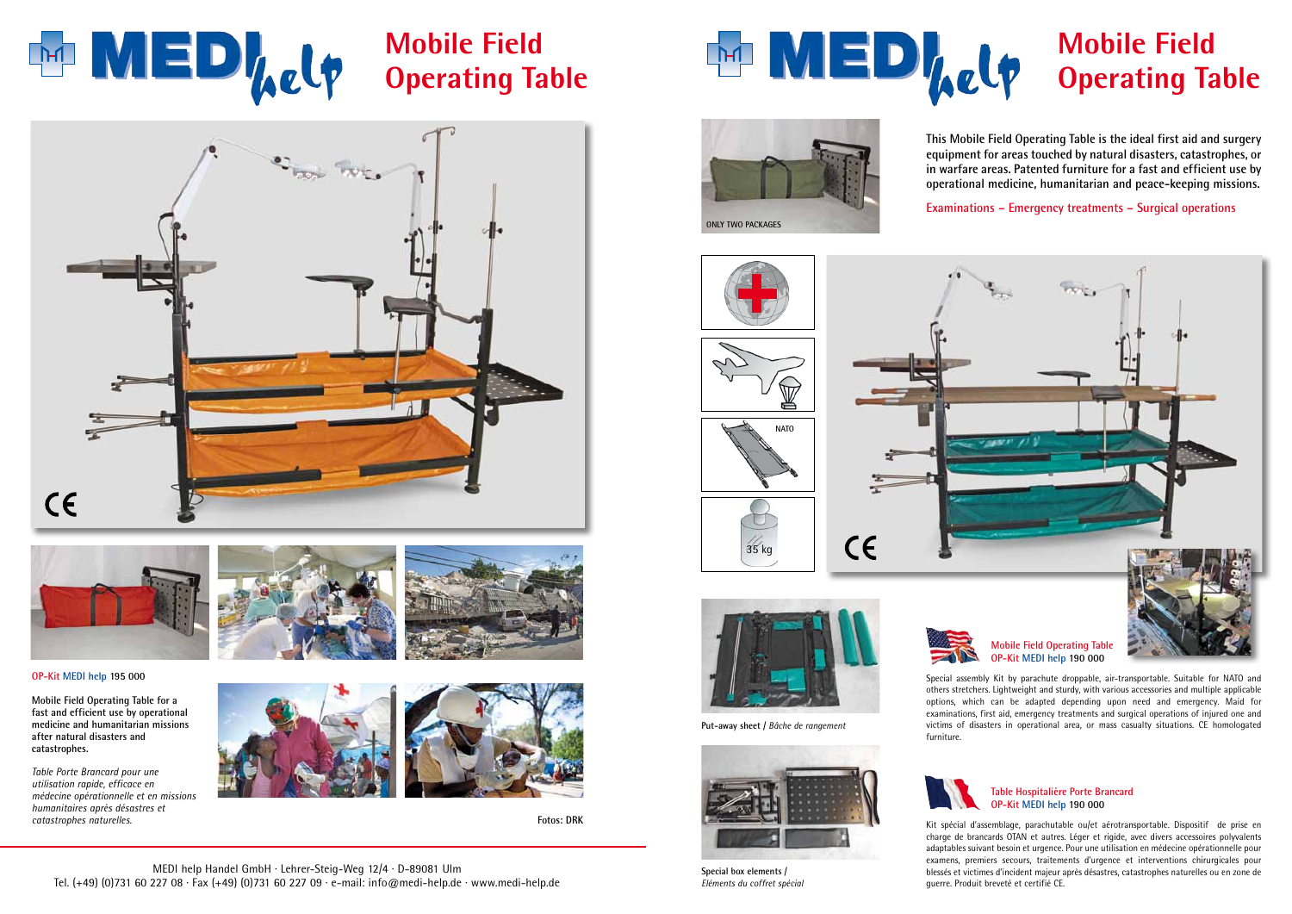## **Mobile Field Operating Table**





### **Table Hospitalière Porte Brancard OP-Kit MEDI help 190 000**



**Mobile Field Operating Table**









MEDI help Handel GmbH · Lehrer-Steig-Weg 12/4 · D-89081 Ulm Tel. (+49) (0)731 60 227 08 · Fax (+49) (0)731 60 227 09 · e-mail: info@medi-help.de · www.medi-help.de **Put-away sheet /** *Bâche de rangement*



Special assembly Kit by parachute droppable, air-transportable. Suitable for NATO and others stretchers. Lightweight and sturdy, with various accessories and multiple applicable options, which can be adapted depending upon need and emergency. Maid for examinations, first aid, emergency treatments and surgical operations of injured one and victims of disasters in operational area, or mass casualty situations. CE homologated

furniture.



Kit spécial d'assemblage, parachutable ou/et aérotransportable. Dispositif de prise en charge de brancards OTAN et autres. Léger et rigide, avec divers accessoires polyvalents adaptables suivant besoin et urgence. Pour une utilisation en médecine opérationnelle pour examens, premiers secours, traitements d'urgence et interventions chirurgicales pour blessés et victimes d'incident majeur après désastres, catastrophes naturelles ou en zone de guerre. Produit breveté et certifié CE.

**Special box elements /**  *Eléments du coffret spécial* **This Mobile Field Operating Table is the ideal first aid and surgery equipment for areas touched by natural disasters, catastrophes, or in warfare areas. Patented furniture for a fast and efficient use by operational medicine, humanitarian and peace-keeping missions.** 

**Examinations – Emergency treatments – Surgical operations**



#### **OP-Kit MEDI help 195 000**

**Mobile Field Operating Table for a fast and efficient use by operational medicine and humanitarian missions after natural disasters and catastrophes.**

*Table Porte Brancard pour une utilisation rapide, efficace en médecine opérationnelle et en missions humanitaires après désastres et catastrophes naturelles.* **Fotos: DRK**







35 kg